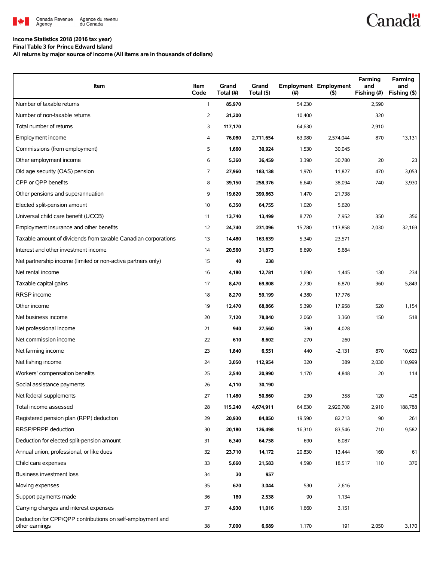

# **Canadä**

#### **Income Statistics 2018 (2016 tax year) Final Table 3 for Prince Edward Island**

**All returns by major source of income (All items are in thousands of dollars)**

| Item                                                                         | Item<br>Code | Grand<br>Total (#) | Grand<br>Total (\$) | (#)    | <b>Employment Employment</b><br>(5) | Farming<br>and<br>Fishing (#) | Farming<br>and<br>Fishing (\$) |
|------------------------------------------------------------------------------|--------------|--------------------|---------------------|--------|-------------------------------------|-------------------------------|--------------------------------|
| Number of taxable returns                                                    | $\mathbf{1}$ | 85,970             |                     | 54,230 |                                     | 2,590                         |                                |
| Number of non-taxable returns                                                | 2            | 31,200             |                     | 10,400 |                                     | 320                           |                                |
| Total number of returns                                                      | 3            | 117,170            |                     | 64,630 |                                     | 2,910                         |                                |
| Employment income                                                            | 4            | 76,080             | 2,711,654           | 63,980 | 2,574,044                           | 870                           | 13,131                         |
| Commissions (from employment)                                                | 5            | 1,660              | 30,924              | 1,530  | 30,045                              |                               |                                |
| Other employment income                                                      | 6            | 5,360              | 36,459              | 3,390  | 30,780                              | 20                            | 23                             |
| Old age security (OAS) pension                                               | 7            | 27,960             | 183,138             | 1,970  | 11,827                              | 470                           | 3,053                          |
| CPP or OPP benefits                                                          | 8            | 39,150             | 258,376             | 6,640  | 38,094                              | 740                           | 3,930                          |
| Other pensions and superannuation                                            | 9            | 19,620             | 399,863             | 1,470  | 21,738                              |                               |                                |
| Elected split-pension amount                                                 | 10           | 6,350              | 64,755              | 1,020  | 5,620                               |                               |                                |
| Universal child care benefit (UCCB)                                          | 11           | 13,740             | 13,499              | 8,770  | 7,952                               | 350                           | 356                            |
| Employment insurance and other benefits                                      | 12           | 24,740             | 231,096             | 15,780 | 113,858                             | 2,030                         | 32,169                         |
| Taxable amount of dividends from taxable Canadian corporations               | 13           | 14,480             | 163,639             | 5,340  | 23,571                              |                               |                                |
| Interest and other investment income                                         | 14           | 20,560             | 31,873              | 6,690  | 5,684                               |                               |                                |
| Net partnership income (limited or non-active partners only)                 | 15           | 40                 | 238                 |        |                                     |                               |                                |
| Net rental income                                                            | 16           | 4,180              | 12,781              | 1,690  | 1,445                               | 130                           | 234                            |
| Taxable capital gains                                                        | 17           | 8,470              | 69,808              | 2,730  | 6,870                               | 360                           | 5,849                          |
| RRSP income                                                                  | 18           | 8,270              | 59,199              | 4,380  | 17,776                              |                               |                                |
| Other income                                                                 | 19           | 12,470             | 68,866              | 5,390  | 17,958                              | 520                           | 1,154                          |
| Net business income                                                          | 20           | 7,120              | 78,840              | 2,060  | 3,360                               | 150                           | 518                            |
| Net professional income                                                      | 21           | 940                | 27,560              | 380    | 4,028                               |                               |                                |
| Net commission income                                                        | 22           | 610                | 8,602               | 270    | 260                                 |                               |                                |
| Net farming income                                                           | 23           | 1,840              | 6,551               | 440    | $-2,131$                            | 870                           | 10,623                         |
| Net fishing income                                                           | 24           | 3,050              | 112,954             | 320    | 389                                 | 2,030                         | 110,999                        |
| Workers' compensation benefits                                               | 25           | 2,540              | 20,990              | 1,170  | 4,848                               | 20                            | 114                            |
| Social assistance payments                                                   | 26           | 4,110              | 30,190              |        |                                     |                               |                                |
| Net federal supplements                                                      | 27           | 11,480             | 50,860              | 230    | 358                                 | 120                           | 428                            |
| Total income assessed                                                        | 28           | 115,240            | 4,674,911           | 64,630 | 2,920,708                           | 2,910                         | 188,788                        |
| Registered pension plan (RPP) deduction                                      | 29           | 20,930             | 84,850              | 19,590 | 82,713                              | 90                            | 261                            |
| RRSP/PRPP deduction                                                          | 30           | 20,180             | 126,498             | 16,310 | 83,546                              | 710                           | 9,582                          |
| Deduction for elected split-pension amount                                   | 31           | 6,340              | 64,758              | 690    | 6,087                               |                               |                                |
| Annual union, professional, or like dues                                     | 32           | 23,710             | 14,172              | 20,830 | 13,444                              | 160                           | 61                             |
| Child care expenses                                                          | 33           | 5,660              | 21,583              | 4,590  | 18,517                              | 110                           | 376                            |
| <b>Business investment loss</b>                                              | 34           | 30                 | 957                 |        |                                     |                               |                                |
| Moving expenses                                                              | 35           | 620                | 3,044               | 530    | 2,616                               |                               |                                |
| Support payments made                                                        | 36           | 180                | 2,538               | 90     | 1,134                               |                               |                                |
| Carrying charges and interest expenses                                       | 37           | 4,930              | 11,016              | 1,660  | 3,151                               |                               |                                |
| Deduction for CPP/QPP contributions on self-employment and<br>other earnings | 38           | 7,000              | 6,689               | 1,170  | 191                                 | 2,050                         | 3,170                          |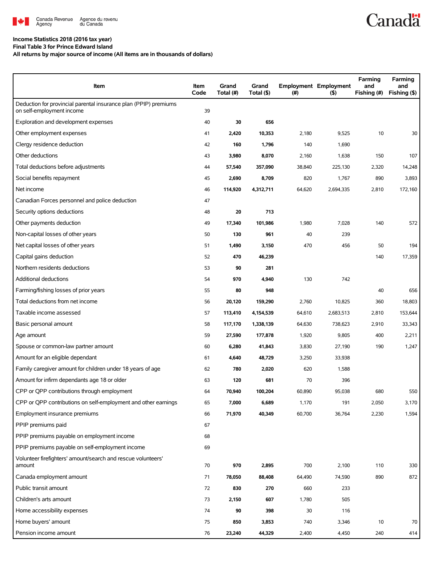

### **Income Statistics 2018 (2016 tax year)**

**Final Table 3 for Prince Edward Island**

**All returns by major source of income (All items are in thousands of dollars)**

| Item                                                                                          | Item<br>Code | Grand<br>Total (#) | Grand<br>Total (\$) | (#)    | <b>Employment Employment</b><br>(5) | Farming<br>and<br>Fishing (#) | <b>Farming</b><br>and<br>Fishing (\$) |
|-----------------------------------------------------------------------------------------------|--------------|--------------------|---------------------|--------|-------------------------------------|-------------------------------|---------------------------------------|
| Deduction for provincial parental insurance plan (PPIP) premiums<br>on self-employment income | 39           |                    |                     |        |                                     |                               |                                       |
| Exploration and development expenses                                                          | 40           | 30                 | 656                 |        |                                     |                               |                                       |
| Other employment expenses                                                                     | 41           | 2,420              | 10,353              | 2,180  | 9,525                               | 10                            | 30                                    |
| Clergy residence deduction                                                                    | 42           | 160                | 1,796               | 140    | 1,690                               |                               |                                       |
| Other deductions                                                                              | 43           | 3,980              | 8,070               | 2,160  | 1,638                               | 150                           | 107                                   |
| Total deductions before adjustments                                                           | 44           | 57,540             | 357,090             | 38,840 | 225,130                             | 2,320                         | 14,248                                |
| Social benefits repayment                                                                     | 45           | 2,690              | 8,709               | 820    | 1,767                               | 890                           | 3,893                                 |
| Net income                                                                                    | 46           | 114,920            | 4,312,711           | 64,620 | 2,694,335                           | 2,810                         | 172,160                               |
| Canadian Forces personnel and police deduction                                                | 47           |                    |                     |        |                                     |                               |                                       |
| Security options deductions                                                                   | 48           | 20                 | 713                 |        |                                     |                               |                                       |
| Other payments deduction                                                                      | 49           | 17,340             | 101,986             | 1,980  | 7,028                               | 140                           | 572                                   |
| Non-capital losses of other years                                                             | 50           | 130                | 961                 | 40     | 239                                 |                               |                                       |
| Net capital losses of other years                                                             | 51           | 1,490              | 3,150               | 470    | 456                                 | 50                            | 194                                   |
| Capital gains deduction                                                                       | 52           | 470                | 46,239              |        |                                     | 140                           | 17,359                                |
| Northern residents deductions                                                                 | 53           | 90                 | 281                 |        |                                     |                               |                                       |
| Additional deductions                                                                         | 54           | 970                | 4,940               | 130    | 742                                 |                               |                                       |
| Farming/fishing losses of prior years                                                         | 55           | 80                 | 948                 |        |                                     | 40                            | 656                                   |
| Total deductions from net income                                                              | 56           | 20,120             | 159,290             | 2,760  | 10,825                              | 360                           | 18,803                                |
| Taxable income assessed                                                                       | 57           | 113,410            | 4,154,539           | 64,610 | 2,683,513                           | 2,810                         | 153,644                               |
| Basic personal amount                                                                         | 58           | 117,170            | 1,338,139           | 64,630 | 738,623                             | 2,910                         | 33,343                                |
| Age amount                                                                                    | 59           | 27,590             | 177,878             | 1,920  | 9,805                               | 400                           | 2,211                                 |
| Spouse or common-law partner amount                                                           | 60           | 6,280              | 41,843              | 3,830  | 27,190                              | 190                           | 1,247                                 |
| Amount for an eligible dependant                                                              | 61           | 4,640              | 48,729              | 3,250  | 33,938                              |                               |                                       |
| Family caregiver amount for children under 18 years of age                                    | 62           | 780                | 2,020               | 620    | 1,588                               |                               |                                       |
| Amount for infirm dependants age 18 or older                                                  | 63           | 120                | 681                 | 70     | 396                                 |                               |                                       |
| CPP or QPP contributions through employment                                                   | 64           | 70,940             | 100,204             | 60,890 | 95,038                              | 680                           | 550                                   |
| CPP or QPP contributions on self-employment and other earnings                                | 65           | 7,000              | 6,689               | 1,170  | 191                                 | 2,050                         | 3,170                                 |
| Employment insurance premiums                                                                 | 66           | 71,970             | 40,349              | 60,700 | 36,764                              | 2,230                         | 1,594                                 |
| PPIP premiums paid                                                                            | 67           |                    |                     |        |                                     |                               |                                       |
| PPIP premiums payable on employment income                                                    | 68           |                    |                     |        |                                     |                               |                                       |
| PPIP premiums payable on self-employment income                                               | 69           |                    |                     |        |                                     |                               |                                       |
| Volunteer firefighters' amount/search and rescue volunteers'<br>amount                        | 70           | 970                | 2,895               | 700    | 2,100                               | 110                           | 330                                   |
| Canada employment amount                                                                      | 71           | 78,050             | 88,408              | 64,490 | 74,590                              | 890                           | 872                                   |
| Public transit amount                                                                         | 72           | 830                | 270                 | 660    | 233                                 |                               |                                       |
| Children's arts amount                                                                        | 73           | 2,150              | 607                 | 1,780  | 505                                 |                               |                                       |
| Home accessibility expenses                                                                   | 74           | 90                 | 398                 | 30     | 116                                 |                               |                                       |
| Home buyers' amount                                                                           | 75           | 850                | 3,853               | 740    | 3,346                               | 10                            | 70                                    |
| Pension income amount                                                                         | 76           | 23,240             | 44,329              | 2,400  | 4,450                               | 240                           | 414                                   |

**Canadä**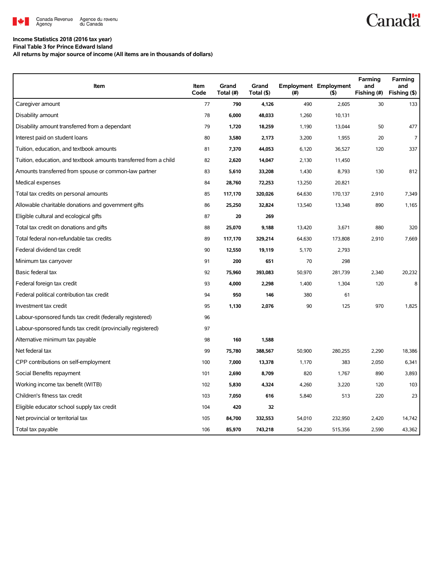

# **Canadä**

### **Income Statistics 2018 (2016 tax year)**

**Final Table 3 for Prince Edward Island All returns by major source of income (All items are in thousands of dollars)**

| Item                                                              | Item<br>Code | Grand<br>Total (#) | Grand<br>Total (\$) | (#)    | <b>Employment Employment</b><br>(5) | Farming<br>and<br>Fishing (#) | Farming<br>and<br>Fishing (\$) |
|-------------------------------------------------------------------|--------------|--------------------|---------------------|--------|-------------------------------------|-------------------------------|--------------------------------|
| Caregiver amount                                                  | 77           | 790                | 4,126               | 490    | 2,605                               | 30                            | 133                            |
| Disability amount                                                 | 78           | 6,000              | 48,033              | 1,260  | 10,131                              |                               |                                |
| Disability amount transferred from a dependant                    | 79           | 1,720              | 18,259              | 1,190  | 13,044                              | 50                            | 477                            |
| Interest paid on student loans                                    | 80           | 3,580              | 2,173               | 3,200  | 1,955                               | 20                            | $\overline{7}$                 |
| Tuition, education, and textbook amounts                          | 81           | 7,370              | 44,053              | 6,120  | 36,527                              | 120                           | 337                            |
| Tuition, education, and textbook amounts transferred from a child | 82           | 2,620              | 14,047              | 2,130  | 11,450                              |                               |                                |
| Amounts transferred from spouse or common-law partner             | 83           | 5,610              | 33,208              | 1,430  | 8,793                               | 130                           | 812                            |
| Medical expenses                                                  | 84           | 28,760             | 72,253              | 13,250 | 20,821                              |                               |                                |
| Total tax credits on personal amounts                             | 85           | 117,170            | 320,026             | 64,630 | 170,137                             | 2,910                         | 7,349                          |
| Allowable charitable donations and government gifts               | 86           | 25,250             | 32,824              | 13,540 | 13,348                              | 890                           | 1,165                          |
| Eligible cultural and ecological gifts                            | 87           | 20                 | 269                 |        |                                     |                               |                                |
| Total tax credit on donations and gifts                           | 88           | 25,070             | 9,188               | 13,420 | 3,671                               | 880                           | 320                            |
| Total federal non-refundable tax credits                          | 89           | 117,170            | 329,214             | 64,630 | 173,808                             | 2,910                         | 7,669                          |
| Federal dividend tax credit                                       | 90           | 12,550             | 19,119              | 5,170  | 2,793                               |                               |                                |
| Minimum tax carryover                                             | 91           | 200                | 651                 | 70     | 298                                 |                               |                                |
| Basic federal tax                                                 | 92           | 75,960             | 393,083             | 50,970 | 281,739                             | 2,340                         | 20,232                         |
| Federal foreign tax credit                                        | 93           | 4,000              | 2,298               | 1,400  | 1,304                               | 120                           | 8                              |
| Federal political contribution tax credit                         | 94           | 950                | 146                 | 380    | 61                                  |                               |                                |
| Investment tax credit                                             | 95           | 1,130              | 2,076               | 90     | 125                                 | 970                           | 1,825                          |
| Labour-sponsored funds tax credit (federally registered)          | 96           |                    |                     |        |                                     |                               |                                |
| Labour-sponsored funds tax credit (provincially registered)       | 97           |                    |                     |        |                                     |                               |                                |
| Alternative minimum tax payable                                   | 98           | 160                | 1,588               |        |                                     |                               |                                |
| Net federal tax                                                   | 99           | 75,780             | 388,567             | 50,900 | 280,255                             | 2,290                         | 18,386                         |
| CPP contributions on self-employment                              | 100          | 7,000              | 13,378              | 1,170  | 383                                 | 2,050                         | 6,341                          |
| Social Benefits repayment                                         | 101          | 2,690              | 8,709               | 820    | 1,767                               | 890                           | 3,893                          |
| Working income tax benefit (WITB)                                 | 102          | 5,830              | 4,324               | 4,260  | 3,220                               | 120                           | 103                            |
| Children's fitness tax credit                                     | 103          | 7,050              | 616                 | 5,840  | 513                                 | 220                           | 23                             |
| Eligible educator school supply tax credit                        | 104          | 420                | 32                  |        |                                     |                               |                                |
| Net provincial or territorial tax                                 | 105          | 84,700             | 332,553             | 54,010 | 232,950                             | 2,420                         | 14,742                         |
| Total tax payable                                                 | 106          | 85,970             | 743,218             | 54,230 | 515,356                             | 2,590                         | 43,362                         |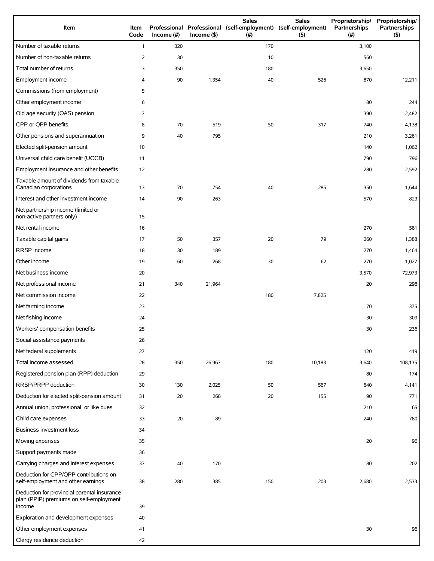| Item                                                                                             | Item<br>Code   | Income (#) | $Income$ (\$) | <b>Sales</b><br>Professional Professional (self-employment) (self-employment)<br>(# ) | <b>Sales</b><br>(5) | Proprietorship/<br>Partnerships<br>(#) | Proprietorship/<br>Partnerships<br>(5) |
|--------------------------------------------------------------------------------------------------|----------------|------------|---------------|---------------------------------------------------------------------------------------|---------------------|----------------------------------------|----------------------------------------|
| Number of taxable returns                                                                        | $\mathbf{1}$   | 320        |               | 170                                                                                   |                     | 3,100                                  |                                        |
| Number of non-taxable returns                                                                    | $\overline{2}$ | 30         |               | 10                                                                                    |                     | 560                                    |                                        |
| Total number of returns                                                                          | 3              | 350        |               | 180                                                                                   |                     | 3,650                                  |                                        |
| Employment income                                                                                | 4              | 90         | 1,354         | 40                                                                                    | 526                 | 870                                    | 12,211                                 |
| Commissions (from employment)                                                                    | 5              |            |               |                                                                                       |                     |                                        |                                        |
| Other employment income                                                                          | 6              |            |               |                                                                                       |                     | 80                                     | 244                                    |
| Old age security (OAS) pension                                                                   | 7              |            |               |                                                                                       |                     | 390                                    | 2,482                                  |
| CPP or QPP benefits                                                                              | 8              | 70         | 519           | 50                                                                                    | 317                 | 740                                    | 4,138                                  |
| Other pensions and superannuation                                                                | 9              | 40         | 795           |                                                                                       |                     | 210                                    | 3,261                                  |
| Elected split-pension amount                                                                     | 10             |            |               |                                                                                       |                     | 140                                    | 1,062                                  |
| Universal child care benefit (UCCB)                                                              | 11             |            |               |                                                                                       |                     | 790                                    | 796                                    |
| Employment insurance and other benefits                                                          | 12             |            |               |                                                                                       |                     | 280                                    | 2,592                                  |
| Taxable amount of dividends from taxable<br>Canadian corporations                                | 13             | 70         | 754           | 40                                                                                    | 285                 | 350                                    | 1,644                                  |
| Interest and other investment income                                                             | 14             | 90         | 263           |                                                                                       |                     | 570                                    | 823                                    |
| Net partnership income (limited or<br>non-active partners only)                                  | 15             |            |               |                                                                                       |                     |                                        |                                        |
| Net rental income                                                                                | 16             |            |               |                                                                                       |                     | 270                                    | 581                                    |
| Taxable capital gains                                                                            | 17             | 50         | 357           | 20                                                                                    | 79                  | 260                                    | 1,388                                  |
| RRSP income                                                                                      | 18             | 30         | 189           |                                                                                       |                     | 270                                    | 1,464                                  |
| Other income                                                                                     | 19             | 60         | 268           | 30                                                                                    | 62                  | 270                                    | 1,027                                  |
| Net business income                                                                              | 20             |            |               |                                                                                       |                     | 3,570                                  | 72,973                                 |
| Net professional income                                                                          | 21             | 340        | 21,964        |                                                                                       |                     | 20                                     | 298                                    |
| Net commission income                                                                            | 22             |            |               | 180                                                                                   | 7,825               |                                        |                                        |
| Net farming income                                                                               | 23             |            |               |                                                                                       |                     | 70                                     | $-375$                                 |
| Net fishing income                                                                               | 24             |            |               |                                                                                       |                     | 30                                     | 309                                    |
| Workers' compensation benefits                                                                   | 25             |            |               |                                                                                       |                     | 30                                     | 236                                    |
| Social assistance payments                                                                       | 26             |            |               |                                                                                       |                     |                                        |                                        |
| Net federal supplements                                                                          | 27             |            |               |                                                                                       |                     | 120                                    | 419                                    |
| Total income assessed                                                                            | 28             | 350        | 26,967        | 180                                                                                   | 10,183              | 3,640                                  | 108,135                                |
| Registered pension plan (RPP) deduction                                                          | 29             |            |               |                                                                                       |                     | 80                                     | 174                                    |
| RRSP/PRPP deduction                                                                              | 30             | 130        | 2,025         | 50                                                                                    | 567                 | 640                                    | 4,141                                  |
| Deduction for elected split-pension amount                                                       | 31             | 20         | 268           | 20                                                                                    | 155                 | 90                                     | 771                                    |
| Annual union, professional, or like dues                                                         | 32             |            |               |                                                                                       |                     | 210                                    | 65                                     |
| Child care expenses                                                                              | 33             | 20         | 89            |                                                                                       |                     | 240                                    | 780                                    |
| Business investment loss                                                                         | 34             |            |               |                                                                                       |                     |                                        |                                        |
| Moving expenses                                                                                  | 35             |            |               |                                                                                       |                     | 20                                     | 96                                     |
| Support payments made                                                                            | 36             |            |               |                                                                                       |                     |                                        |                                        |
| Carrying charges and interest expenses                                                           | 37             | 40         | 170           |                                                                                       |                     | 80                                     | 202                                    |
| Deduction for CPP/QPP contributions on<br>self-employment and other earnings                     | 38             | 280        | 385           | 150                                                                                   | 203                 | 2,680                                  | 2,533                                  |
| Deduction for provincial parental insurance<br>plan (PPIP) premiums on self-employment<br>income | 39             |            |               |                                                                                       |                     |                                        |                                        |
| Exploration and development expenses                                                             | 40             |            |               |                                                                                       |                     |                                        |                                        |
| Other employment expenses                                                                        | 41             |            |               |                                                                                       |                     | 30                                     | 96                                     |
| Clergy residence deduction                                                                       | 42             |            |               |                                                                                       |                     |                                        |                                        |
|                                                                                                  |                |            |               |                                                                                       |                     |                                        |                                        |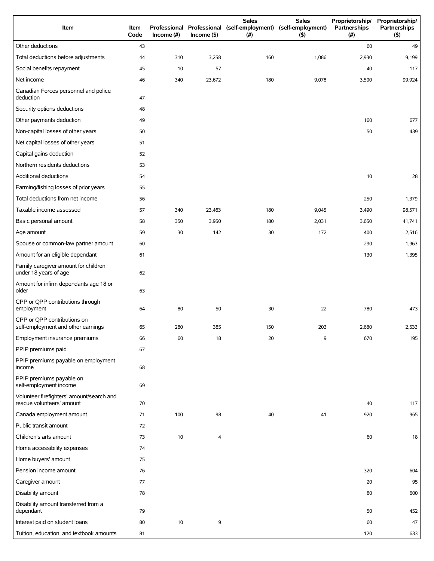| Item                                                                   | <b>Item</b><br>Code | Income $(\#)$ | $Income$ (\$) | <b>Sales</b><br>Professional Professional (self-employment) (self-employment)<br>(# ) | <b>Sales</b><br>(5) | Proprietorship/<br>Partnerships<br>(#) | Proprietorship/<br>Partnerships<br>(5) |
|------------------------------------------------------------------------|---------------------|---------------|---------------|---------------------------------------------------------------------------------------|---------------------|----------------------------------------|----------------------------------------|
| Other deductions                                                       | 43                  |               |               |                                                                                       |                     | 60                                     | 49                                     |
| Total deductions before adjustments                                    | 44                  | 310           | 3,258         | 160                                                                                   | 1,086               | 2,930                                  | 9,199                                  |
| Social benefits repayment                                              | 45                  | 10            | 57            |                                                                                       |                     | 40                                     | 117                                    |
| Net income                                                             | 46                  | 340           | 23,672        | 180                                                                                   | 9,078               | 3,500                                  | 99,924                                 |
| Canadian Forces personnel and police<br>deduction                      | 47                  |               |               |                                                                                       |                     |                                        |                                        |
| Security options deductions                                            | 48                  |               |               |                                                                                       |                     |                                        |                                        |
| Other payments deduction                                               | 49                  |               |               |                                                                                       |                     | 160                                    | 677                                    |
| Non-capital losses of other years                                      | 50                  |               |               |                                                                                       |                     | 50                                     | 439                                    |
| Net capital losses of other years                                      | 51                  |               |               |                                                                                       |                     |                                        |                                        |
| Capital gains deduction                                                | 52                  |               |               |                                                                                       |                     |                                        |                                        |
| Northern residents deductions                                          | 53                  |               |               |                                                                                       |                     |                                        |                                        |
| Additional deductions                                                  | 54                  |               |               |                                                                                       |                     | 10                                     | 28                                     |
| Farming/fishing losses of prior years                                  | 55                  |               |               |                                                                                       |                     |                                        |                                        |
| Total deductions from net income                                       | 56                  |               |               |                                                                                       |                     | 250                                    | 1,379                                  |
| Taxable income assessed                                                | 57                  | 340           | 23,463        | 180                                                                                   | 9,045               | 3,490                                  | 98,571                                 |
| Basic personal amount                                                  | 58                  | 350           | 3,950         | 180                                                                                   | 2,031               | 3,650                                  | 41,741                                 |
| Age amount                                                             | 59                  | 30            | 142           | 30                                                                                    | 172                 | 400                                    | 2,516                                  |
| Spouse or common-law partner amount                                    | 60                  |               |               |                                                                                       |                     | 290                                    | 1,963                                  |
| Amount for an eligible dependant                                       | 61                  |               |               |                                                                                       |                     | 130                                    | 1,395                                  |
| Family caregiver amount for children<br>under 18 years of age          | 62                  |               |               |                                                                                       |                     |                                        |                                        |
| Amount for infirm dependants age 18 or<br>older                        | 63                  |               |               |                                                                                       |                     |                                        |                                        |
| CPP or QPP contributions through<br>employment                         | 64                  | 80            | 50            | 30                                                                                    | 22                  | 780                                    | 473                                    |
| CPP or QPP contributions on<br>self-employment and other earnings      | 65                  | 280           | 385           | 150                                                                                   | 203                 | 2,680                                  | 2,533                                  |
| Employment insurance premiums                                          | 66                  | 60            | 18            | 20                                                                                    | 9                   | 670                                    | 195                                    |
| PPIP premiums paid                                                     | 67                  |               |               |                                                                                       |                     |                                        |                                        |
| PPIP premiums payable on employment<br>income                          | 68                  |               |               |                                                                                       |                     |                                        |                                        |
| PPIP premiums payable on<br>self-employment income                     | 69                  |               |               |                                                                                       |                     |                                        |                                        |
| Volunteer firefighters' amount/search and<br>rescue volunteers' amount | 70                  |               |               |                                                                                       |                     | 40                                     | 117                                    |
| Canada employment amount                                               | 71                  | 100           | 98            | 40                                                                                    | 41                  | 920                                    | 965                                    |
| Public transit amount                                                  | 72                  |               |               |                                                                                       |                     |                                        |                                        |
| Children's arts amount                                                 | 73                  | 10            | 4             |                                                                                       |                     | 60                                     | 18                                     |
| Home accessibility expenses                                            | 74                  |               |               |                                                                                       |                     |                                        |                                        |
| Home buyers' amount                                                    | 75                  |               |               |                                                                                       |                     |                                        |                                        |
| Pension income amount                                                  | 76                  |               |               |                                                                                       |                     | 320                                    | 604                                    |
| Caregiver amount                                                       | 77                  |               |               |                                                                                       |                     | 20                                     | 95                                     |
| Disability amount                                                      | 78                  |               |               |                                                                                       |                     | 80                                     | 600                                    |
| Disability amount transferred from a<br>dependant                      | 79                  |               |               |                                                                                       |                     | 50                                     | 452                                    |
| Interest paid on student loans                                         | 80                  | 10            | 9             |                                                                                       |                     | 60                                     | 47                                     |
| Tuition, education, and textbook amounts                               | 81                  |               |               |                                                                                       |                     | 120                                    | 633                                    |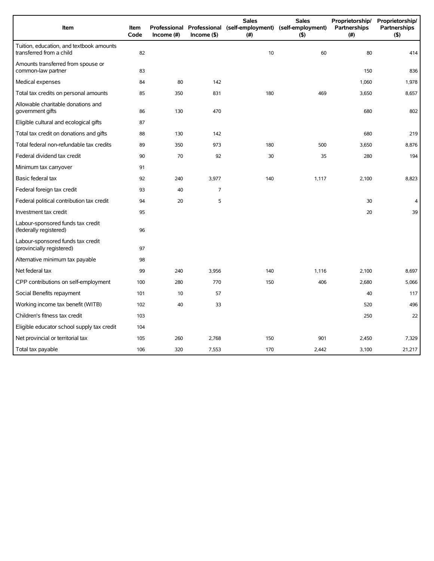| Item                                                                 | Item<br>Code | Income $(H)$ | $Income($ \$)  | <b>Sales</b><br>Professional Professional (self-employment) (self-employment)<br>(#) | <b>Sales</b><br>(5) | Proprietorship/<br>Partnerships<br>(# ) | Proprietorship/<br><b>Partnerships</b><br>(5) |
|----------------------------------------------------------------------|--------------|--------------|----------------|--------------------------------------------------------------------------------------|---------------------|-----------------------------------------|-----------------------------------------------|
| Tuition, education, and textbook amounts<br>transferred from a child | 82           |              |                | 10                                                                                   | 60                  | 80                                      | 414                                           |
| Amounts transferred from spouse or<br>common-law partner             | 83           |              |                |                                                                                      |                     | 150                                     | 836                                           |
| Medical expenses                                                     | 84           | 80           | 142            |                                                                                      |                     | 1,060                                   | 1,978                                         |
| Total tax credits on personal amounts                                | 85           | 350          | 831            | 180                                                                                  | 469                 | 3,650                                   | 8,657                                         |
| Allowable charitable donations and<br>government gifts               | 86           | 130          | 470            |                                                                                      |                     | 680                                     | 802                                           |
| Eligible cultural and ecological gifts                               | 87           |              |                |                                                                                      |                     |                                         |                                               |
| Total tax credit on donations and gifts                              | 88           | 130          | 142            |                                                                                      |                     | 680                                     | 219                                           |
| Total federal non-refundable tax credits                             | 89           | 350          | 973            | 180                                                                                  | 500                 | 3,650                                   | 8,876                                         |
| Federal dividend tax credit                                          | 90           | 70           | 92             | 30                                                                                   | 35                  | 280                                     | 194                                           |
| Minimum tax carryover                                                | 91           |              |                |                                                                                      |                     |                                         |                                               |
| Basic federal tax                                                    | 92           | 240          | 3,977          | 140                                                                                  | 1,117               | 2,100                                   | 8,823                                         |
| Federal foreign tax credit                                           | 93           | 40           | $\overline{7}$ |                                                                                      |                     |                                         |                                               |
| Federal political contribution tax credit                            | 94           | 20           | 5              |                                                                                      |                     | 30                                      | 4                                             |
| Investment tax credit                                                | 95           |              |                |                                                                                      |                     | 20                                      | 39                                            |
| Labour-sponsored funds tax credit<br>(federally registered)          | 96           |              |                |                                                                                      |                     |                                         |                                               |
| Labour-sponsored funds tax credit<br>(provincially registered)       | 97           |              |                |                                                                                      |                     |                                         |                                               |
| Alternative minimum tax payable                                      | 98           |              |                |                                                                                      |                     |                                         |                                               |
| Net federal tax                                                      | 99           | 240          | 3,956          | 140                                                                                  | 1,116               | 2,100                                   | 8,697                                         |
| CPP contributions on self-employment                                 | 100          | 280          | 770            | 150                                                                                  | 406                 | 2,680                                   | 5,066                                         |
| Social Benefits repayment                                            | 101          | 10           | 57             |                                                                                      |                     | 40                                      | 117                                           |
| Working income tax benefit (WITB)                                    | 102          | 40           | 33             |                                                                                      |                     | 520                                     | 496                                           |
| Children's fitness tax credit                                        | 103          |              |                |                                                                                      |                     | 250                                     | 22                                            |
| Eligible educator school supply tax credit                           | 104          |              |                |                                                                                      |                     |                                         |                                               |
| Net provincial or territorial tax                                    | 105          | 260          | 2,768          | 150                                                                                  | 901                 | 2,450                                   | 7,329                                         |
| Total tax payable                                                    | 106          | 320          | 7,553          | 170                                                                                  | 2,442               | 3,100                                   | 21,217                                        |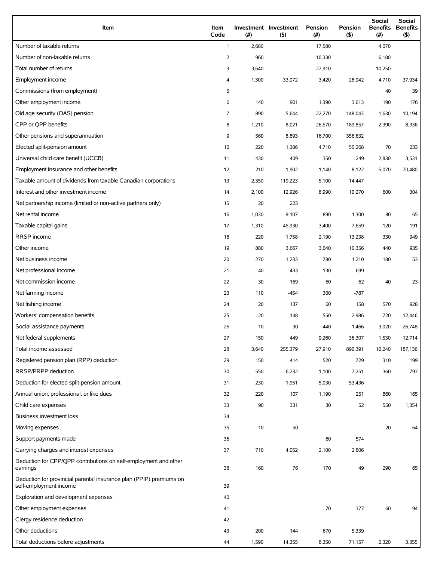| Item                                                                                          | Item<br>Code   | (#)   | Investment Investment<br>(5) | Pension<br>(# ) | Pension<br>$($ \$) | Social<br><b>Benefits</b><br>(#) | Social<br><b>Benefits</b><br>$($ \$) |
|-----------------------------------------------------------------------------------------------|----------------|-------|------------------------------|-----------------|--------------------|----------------------------------|--------------------------------------|
| Number of taxable returns                                                                     | $\mathbf{1}$   | 2,680 |                              | 17,580          |                    | 4,070                            |                                      |
| Number of non-taxable returns                                                                 | $\overline{2}$ | 960   |                              | 10,330          |                    | 6,180                            |                                      |
| Total number of returns                                                                       | 3              | 3,640 |                              | 27,910          |                    | 10,250                           |                                      |
| Employment income                                                                             | 4              | 1,300 | 33,072                       | 3,420           | 28,942             | 4,710                            | 37,934                               |
| Commissions (from employment)                                                                 | 5              |       |                              |                 |                    | 40                               | 39                                   |
| Other employment income                                                                       | 6              | 140   | 901                          | 1,390           | 3,613              | 190                              | 176                                  |
| Old age security (OAS) pension                                                                | $\overline{7}$ | 890   | 5,644                        | 22,270          | 148,043            | 1,630                            | 10,194                               |
| CPP or QPP benefits                                                                           | 8              | 1,210 | 8,021                        | 26,570          | 189,857            | 2,390                            | 8,336                                |
| Other pensions and superannuation                                                             | 9              | 560   | 8,893                        | 16,700          | 356,632            |                                  |                                      |
| Elected split-pension amount                                                                  | 10             | 220   | 1,386                        | 4,710           | 55,268             | 70                               | 233                                  |
| Universal child care benefit (UCCB)                                                           | 11             | 430   | 409                          | 350             | 249                | 2,830                            | 3,531                                |
| Employment insurance and other benefits                                                       | 12             | 210   | 1,902                        | 1,140           | 8,122              | 5,070                            | 70,480                               |
| Taxable amount of dividends from taxable Canadian corporations                                | 13             | 2,350 | 119,223                      | 5,100           | 14,447             |                                  |                                      |
| Interest and other investment income                                                          | 14             | 2,100 | 12,926                       | 8,990           | 10,270             | 600                              | 304                                  |
| Net partnership income (limited or non-active partners only)                                  | 15             | 20    | 223                          |                 |                    |                                  |                                      |
| Net rental income                                                                             | 16             | 1,030 | 9,107                        | 890             | 1,300              | 80                               | 65                                   |
| Taxable capital gains                                                                         | 17             | 1,310 | 45,930                       | 3,400           | 7,659              | 120                              | 191                                  |
| RRSP income                                                                                   | 18             | 220   | 1,758                        | 2,190           | 13,238             | 330                              | 949                                  |
| Other income                                                                                  | 19             | 880   | 3,667                        | 3,640           | 10,356             | 440                              | 935                                  |
| Net business income                                                                           | 20             | 270   | 1,233                        | 780             | 1,210              | 180                              | 53                                   |
| Net professional income                                                                       | 21             | 40    | 433                          | 130             | 699                |                                  |                                      |
| Net commission income                                                                         | 22             | 30    | 169                          | 60              | 62                 | 40                               | 23                                   |
| Net farming income                                                                            | 23             | 110   | $-454$                       | 300             | -787               |                                  |                                      |
| Net fishing income                                                                            | 24             | 20    | 137                          | 60              | 158                | 570                              | 928                                  |
| Workers' compensation benefits                                                                | 25             | 20    | 148                          | 550             | 2,986              | 720                              | 12,446                               |
| Social assistance payments                                                                    | 26             | 10    | 30                           | 440             | 1,466              | 3,020                            | 26,748                               |
| Net federal supplements                                                                       | 27             | 150   | 449                          | 9,260           | 36,307             | 1,530                            | 12,714                               |
| Total income assessed                                                                         | 28             | 3,640 | 255,379                      | 27,910          | 890,391            | 10,240                           | 187,136                              |
| Registered pension plan (RPP) deduction                                                       | 29             | 150   | 414                          | 520             | 729                | 310                              | 199                                  |
| RRSP/PRPP deduction                                                                           | 30             | 550   | 6,232                        | 1,100           | 7,251              | 360                              | 797                                  |
| Deduction for elected split-pension amount                                                    | 31             | 230   | 1,951                        | 5,030           | 53,436             |                                  |                                      |
| Annual union, professional, or like dues                                                      | 32             | 220   | 107                          | 1,190           | 251                | 860                              | 165                                  |
| Child care expenses                                                                           | 33             | 90    | 331                          | 30              | 52                 | 550                              | 1,354                                |
| Business investment loss                                                                      | 34             |       |                              |                 |                    |                                  |                                      |
| Moving expenses                                                                               | 35             | 10    | 50                           |                 |                    | 20                               | 64                                   |
| Support payments made                                                                         | 36             |       |                              | 60              | 574                |                                  |                                      |
| Carrying charges and interest expenses                                                        | 37             | 710   | 4,052                        | 2,100           | 2,806              |                                  |                                      |
| Deduction for CPP/QPP contributions on self-employment and other<br>earnings                  | 38             | 160   | 76                           | 170             | 49                 | 290                              | 65                                   |
| Deduction for provincial parental insurance plan (PPIP) premiums on<br>self-employment income | 39             |       |                              |                 |                    |                                  |                                      |
| Exploration and development expenses                                                          | 40             |       |                              |                 |                    |                                  |                                      |
| Other employment expenses                                                                     | 41             |       |                              | 70              | 377                | 60                               | 94                                   |
| Clergy residence deduction                                                                    | 42             |       |                              |                 |                    |                                  |                                      |
| Other deductions                                                                              | 43             | 200   | 144                          | 670             | 5,339              |                                  |                                      |
| Total deductions before adjustments                                                           | 44             | 1,590 | 14,355                       | 8,350           | 71,157             | 2,320                            | 3,355                                |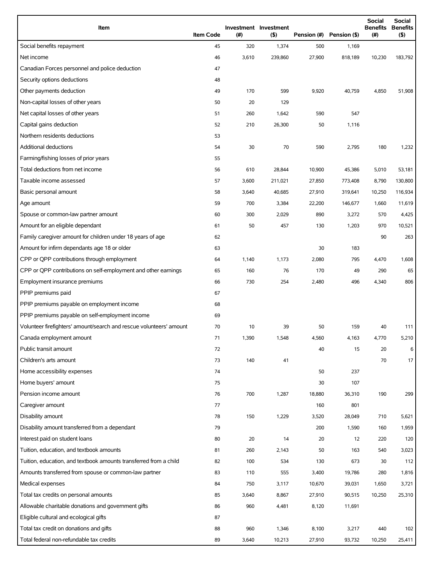| Item                                                                | <b>Item Code</b> | (#)   | Investment Investment<br>(5) | Pension (#) | Pension (\$) | <b>Social</b><br><b>Benefits</b><br>(# ) | Social<br><b>Benefits</b><br>(5) |
|---------------------------------------------------------------------|------------------|-------|------------------------------|-------------|--------------|------------------------------------------|----------------------------------|
| Social benefits repayment                                           | 45               | 320   | 1,374                        | 500         | 1,169        |                                          |                                  |
| Net income                                                          | 46               | 3,610 | 239,860                      | 27,900      | 818,189      | 10,230                                   | 183,792                          |
| Canadian Forces personnel and police deduction                      | 47               |       |                              |             |              |                                          |                                  |
| Security options deductions                                         | 48               |       |                              |             |              |                                          |                                  |
| Other payments deduction                                            | 49               | 170   | 599                          | 9,920       | 40,759       | 4,850                                    | 51,908                           |
| Non-capital losses of other years                                   | 50               | 20    | 129                          |             |              |                                          |                                  |
| Net capital losses of other years                                   | 51               | 260   | 1,642                        | 590         | 547          |                                          |                                  |
| Capital gains deduction                                             | 52               | 210   | 26,300                       | 50          | 1,116        |                                          |                                  |
| Northern residents deductions                                       | 53               |       |                              |             |              |                                          |                                  |
| Additional deductions                                               | 54               | 30    | 70                           | 590         | 2,795        | 180                                      | 1,232                            |
| Farming/fishing losses of prior years                               | 55               |       |                              |             |              |                                          |                                  |
| Total deductions from net income                                    | 56               | 610   | 28,844                       | 10,900      | 45,386       | 5,010                                    | 53,181                           |
| Taxable income assessed                                             | 57               | 3,600 | 211,021                      | 27,850      | 773,408      | 8,790                                    | 130,800                          |
| Basic personal amount                                               | 58               | 3,640 | 40,685                       | 27,910      | 319,641      | 10,250                                   | 116,934                          |
| Age amount                                                          | 59               | 700   | 3,384                        | 22,200      | 146,677      | 1,660                                    | 11,619                           |
| Spouse or common-law partner amount                                 | 60               | 300   | 2,029                        | 890         | 3,272        | 570                                      | 4,425                            |
| Amount for an eligible dependant                                    | 61               | 50    | 457                          | 130         | 1,203        | 970                                      | 10,521                           |
| Family caregiver amount for children under 18 years of age          | 62               |       |                              |             |              | 90                                       | 263                              |
| Amount for infirm dependants age 18 or older                        | 63               |       |                              | 30          | 183          |                                          |                                  |
| CPP or QPP contributions through employment                         | 64               | 1,140 | 1,173                        | 2,080       | 795          | 4,470                                    | 1,608                            |
| CPP or QPP contributions on self-employment and other earnings      | 65               | 160   | 76                           | 170         | 49           | 290                                      | 65                               |
| Employment insurance premiums                                       | 66               | 730   | 254                          | 2,480       | 496          | 4,340                                    | 806                              |
| PPIP premiums paid                                                  | 67               |       |                              |             |              |                                          |                                  |
| PPIP premiums payable on employment income                          | 68               |       |                              |             |              |                                          |                                  |
| PPIP premiums payable on self-employment income                     | 69               |       |                              |             |              |                                          |                                  |
| Volunteer firefighters' amount/search and rescue volunteers' amount | 70               | 10    | 39                           | 50          | 159          | 40                                       | 111                              |
| Canada employment amount                                            | 71               | 1,390 | 1,548                        | 4,560       | 4,163        | 4,770                                    | 5,210                            |
| Public transit amount                                               | 72               |       |                              | 40          | 15           | 20                                       | 6                                |
| Children's arts amount                                              | 73               | 140   | 41                           |             |              | 70                                       | 17                               |
| Home accessibility expenses                                         | 74               |       |                              | 50          | 237          |                                          |                                  |
| Home buyers' amount                                                 | 75               |       |                              | 30          | 107          |                                          |                                  |
| Pension income amount                                               | 76               | 700   | 1,287                        | 18,880      | 36,310       | 190                                      | 299                              |
| Caregiver amount                                                    | 77               |       |                              | 160         | 801          |                                          |                                  |
| Disability amount                                                   | 78               | 150   | 1,229                        | 3,520       | 28,049       | 710                                      | 5,621                            |
| Disability amount transferred from a dependant                      | 79               |       |                              | 200         | 1,590        | 160                                      | 1,959                            |
| Interest paid on student loans                                      | 80               | 20    | 14                           | 20          | 12           | 220                                      | 120                              |
| Tuition, education, and textbook amounts                            | 81               | 260   | 2,143                        | 50          | 163          | 540                                      | 3,023                            |
| Tuition, education, and textbook amounts transferred from a child   | 82               | 100   | 534                          | 130         | 673          | 30                                       | 112                              |
| Amounts transferred from spouse or common-law partner               | 83               | 110   | 555                          | 3,400       | 19,786       | 280                                      | 1,816                            |
| Medical expenses                                                    | 84               | 750   | 3,117                        | 10,670      | 39,031       | 1,650                                    | 3,721                            |
| Total tax credits on personal amounts                               | 85               | 3,640 | 8,867                        | 27,910      | 90,515       | 10,250                                   | 25,310                           |
| Allowable charitable donations and government gifts                 | 86               | 960   | 4,481                        | 8,120       | 11,691       |                                          |                                  |
| Eligible cultural and ecological gifts                              | 87               |       |                              |             |              |                                          |                                  |
| Total tax credit on donations and gifts                             | 88               | 960   | 1,346                        | 8,100       | 3,217        | 440                                      | 102                              |
| Total federal non-refundable tax credits                            | 89               | 3,640 | 10,213                       | 27,910      | 93,732       | 10,250                                   | 25,411                           |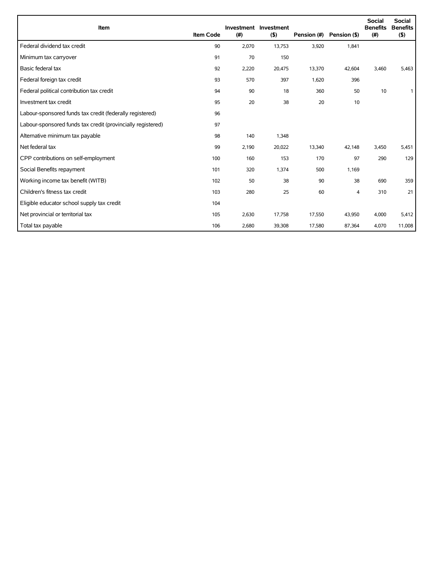| Item                                                        | <b>Item Code</b> | (#)   | Investment Investment<br>(5) | Pension (#) | Pension (\$) | <b>Social</b><br><b>Benefits</b><br>(# ) | <b>Social</b><br><b>Benefits</b><br>$($ \$) |
|-------------------------------------------------------------|------------------|-------|------------------------------|-------------|--------------|------------------------------------------|---------------------------------------------|
| Federal dividend tax credit                                 | 90               | 2,070 | 13,753                       | 3,920       | 1,841        |                                          |                                             |
| Minimum tax carryover                                       | 91               | 70    | 150                          |             |              |                                          |                                             |
| Basic federal tax                                           | 92               | 2,220 | 20,475                       | 13,370      | 42,604       | 3,460                                    | 5,463                                       |
| Federal foreign tax credit                                  | 93               | 570   | 397                          | 1,620       | 396          |                                          |                                             |
| Federal political contribution tax credit                   | 94               | 90    | 18                           | 360         | 50           | 10                                       | 1                                           |
| Investment tax credit                                       | 95               | 20    | 38                           | 20          | 10           |                                          |                                             |
| Labour-sponsored funds tax credit (federally registered)    | 96               |       |                              |             |              |                                          |                                             |
| Labour-sponsored funds tax credit (provincially registered) | 97               |       |                              |             |              |                                          |                                             |
| Alternative minimum tax payable                             | 98               | 140   | 1,348                        |             |              |                                          |                                             |
| Net federal tax                                             | 99               | 2,190 | 20,022                       | 13,340      | 42,148       | 3,450                                    | 5,451                                       |
| CPP contributions on self-employment                        | 100              | 160   | 153                          | 170         | 97           | 290                                      | 129                                         |
| Social Benefits repayment                                   | 101              | 320   | 1,374                        | 500         | 1,169        |                                          |                                             |
| Working income tax benefit (WITB)                           | 102              | 50    | 38                           | 90          | 38           | 690                                      | 359                                         |
| Children's fitness tax credit                               | 103              | 280   | 25                           | 60          | 4            | 310                                      | 21                                          |
| Eligible educator school supply tax credit                  | 104              |       |                              |             |              |                                          |                                             |
| Net provincial or territorial tax                           | 105              | 2,630 | 17,758                       | 17,550      | 43,950       | 4,000                                    | 5,412                                       |
| Total tax payable                                           | 106              | 2,680 | 39,308                       | 17,580      | 87,364       | 4,070                                    | 11,008                                      |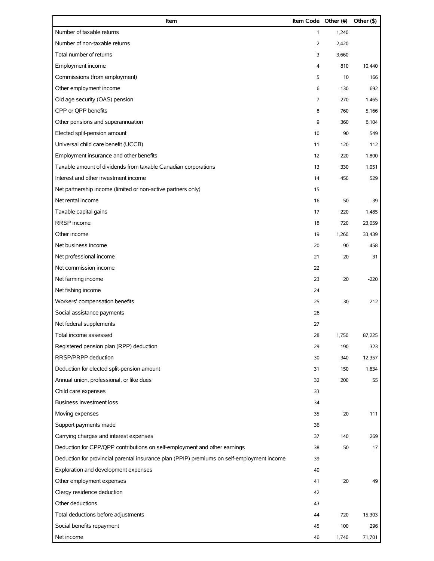| Item                                                                                       | Item Code Other (#) |       | Other (\$) |
|--------------------------------------------------------------------------------------------|---------------------|-------|------------|
| Number of taxable returns                                                                  | 1                   | 1,240 |            |
| Number of non-taxable returns                                                              | 2                   | 2,420 |            |
| Total number of returns                                                                    | 3                   | 3,660 |            |
| Employment income                                                                          | 4                   | 810   | 10,440     |
| Commissions (from employment)                                                              | 5                   | 10    | 166        |
| Other employment income                                                                    | 6                   | 130   | 692        |
| Old age security (OAS) pension                                                             | 7                   | 270   | 1,465      |
| CPP or QPP benefits                                                                        | 8                   | 760   | 5,166      |
| Other pensions and superannuation                                                          | 9                   | 360   | 6,104      |
| Elected split-pension amount                                                               | 10                  | 90    | 549        |
| Universal child care benefit (UCCB)                                                        | 11                  | 120   | 112        |
| Employment insurance and other benefits                                                    | 12                  | 220   | 1,800      |
| Taxable amount of dividends from taxable Canadian corporations                             | 13                  | 330   | 1,051      |
| Interest and other investment income                                                       | 14                  | 450   | 529        |
| Net partnership income (limited or non-active partners only)                               | 15                  |       |            |
| Net rental income                                                                          | 16                  | 50    | $-39$      |
| Taxable capital gains                                                                      | 17                  | 220   | 1,485      |
| RRSP income                                                                                | 18                  | 720   | 23,059     |
| Other income                                                                               | 19                  | 1,260 | 33,439     |
| Net business income                                                                        | 20                  | 90    | $-458$     |
| Net professional income                                                                    | 21                  | 20    | 31         |
| Net commission income                                                                      | 22                  |       |            |
| Net farming income                                                                         | 23                  | 20    | $-220$     |
| Net fishing income                                                                         | 24                  |       |            |
| Workers' compensation benefits                                                             | 25                  | 30    | 212        |
| Social assistance payments                                                                 | 26                  |       |            |
| Net federal supplements                                                                    | 27                  |       |            |
| Total income assessed                                                                      | 28                  | 1,750 | 87,225     |
| Registered pension plan (RPP) deduction                                                    | 29                  | 190   | 323        |
| RRSP/PRPP deduction                                                                        | 30                  | 340   | 12,357     |
| Deduction for elected split-pension amount                                                 | 31                  | 150   | 1,634      |
| Annual union, professional, or like dues                                                   | 32                  | 200   | 55         |
| Child care expenses                                                                        | 33                  |       |            |
| <b>Business investment loss</b>                                                            | 34                  |       |            |
| Moving expenses                                                                            | 35                  | 20    | 111        |
| Support payments made                                                                      | 36                  |       |            |
| Carrying charges and interest expenses                                                     | 37                  | 140   | 269        |
| Deduction for CPP/QPP contributions on self-employment and other earnings                  | 38                  | 50    | 17         |
| Deduction for provincial parental insurance plan (PPIP) premiums on self-employment income | 39                  |       |            |
| Exploration and development expenses                                                       | 40                  |       |            |
| Other employment expenses                                                                  | 41                  | 20    | 49         |
| Clergy residence deduction                                                                 | 42                  |       |            |
| Other deductions                                                                           | 43                  |       |            |
| Total deductions before adjustments                                                        | 44                  | 720   | 15,303     |
| Social benefits repayment                                                                  | 45                  | 100   | 296        |
| Net income                                                                                 | 46                  | 1,740 | 71,701     |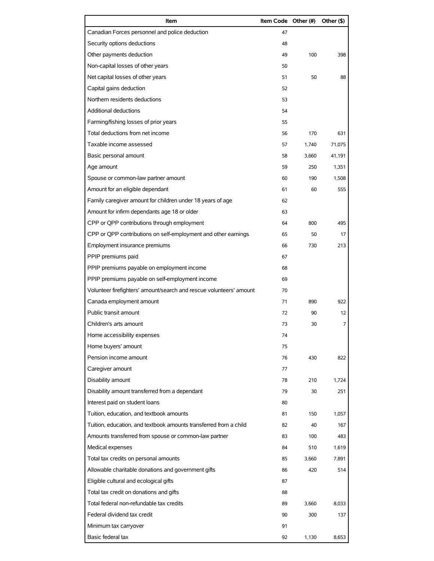| Item                                                                | Item Code Other (#) |       | Other (\$) |
|---------------------------------------------------------------------|---------------------|-------|------------|
| Canadian Forces personnel and police deduction                      | 47                  |       |            |
| Security options deductions                                         | 48                  |       |            |
| Other payments deduction                                            | 49                  | 100   | 398        |
| Non-capital losses of other years                                   | 50                  |       |            |
| Net capital losses of other years                                   | 51                  | 50    | 88         |
| Capital gains deduction                                             | 52                  |       |            |
| Northern residents deductions                                       | 53                  |       |            |
| Additional deductions                                               | 54                  |       |            |
| Farming/fishing losses of prior years                               | 55                  |       |            |
| Total deductions from net income                                    | 56                  | 170   | 631        |
| Taxable income assessed                                             | 57                  | 1,740 | 71,075     |
| Basic personal amount                                               | 58                  | 3,660 | 41,191     |
| Age amount                                                          | 59                  | 250   | 1,351      |
| Spouse or common-law partner amount                                 | 60                  | 190   | 1,508      |
| Amount for an eligible dependant                                    | 61                  | 60    | 555        |
| Family caregiver amount for children under 18 years of age          | 62                  |       |            |
| Amount for infirm dependants age 18 or older                        | 63                  |       |            |
| CPP or QPP contributions through employment                         | 64                  | 800   | 495        |
| CPP or QPP contributions on self-employment and other earnings      | 65                  | 50    | 17         |
| Employment insurance premiums                                       | 66                  | 730   | 213        |
| PPIP premiums paid                                                  | 67                  |       |            |
| PPIP premiums payable on employment income                          | 68                  |       |            |
| PPIP premiums payable on self-employment income                     | 69                  |       |            |
| Volunteer firefighters' amount/search and rescue volunteers' amount | 70                  |       |            |
| Canada employment amount                                            | 71                  | 890   | 922        |
| Public transit amount                                               | 72                  | 90    | 12         |
| Children's arts amount                                              | 73                  | 30    | 7          |
| Home accessibility expenses                                         | 74                  |       |            |
| Home buyers' amount                                                 | 75                  |       |            |
| Pension income amount                                               | 76                  | 430   | 822        |
| Caregiver amount                                                    | 77                  |       |            |
| Disability amount                                                   | 78                  | 210   | 1,724      |
| Disability amount transferred from a dependant                      | 79                  | 30    | 251        |
| Interest paid on student loans                                      | 80                  |       |            |
| Tuition, education, and textbook amounts                            | 81                  | 150   | 1,057      |
| Tuition, education, and textbook amounts transferred from a child   | 82                  | 40    | 167        |
| Amounts transferred from spouse or common-law partner               | 83                  | 100   | 483        |
| Medical expenses                                                    | 84                  | 510   | 1,619      |
| Total tax credits on personal amounts                               | 85                  | 3,660 | 7,891      |
| Allowable charitable donations and government gifts                 | 86                  | 420   | 514        |
| Eligible cultural and ecological gifts                              | 87                  |       |            |
| Total tax credit on donations and gifts                             | 88                  |       |            |
| Total federal non-refundable tax credits                            | 89                  | 3,660 | 8,033      |
| Federal dividend tax credit                                         | 90                  | 300   | 137        |
| Minimum tax carryover                                               | 91                  |       |            |
| Basic federal tax                                                   | 92                  | 1,130 | 8,653      |